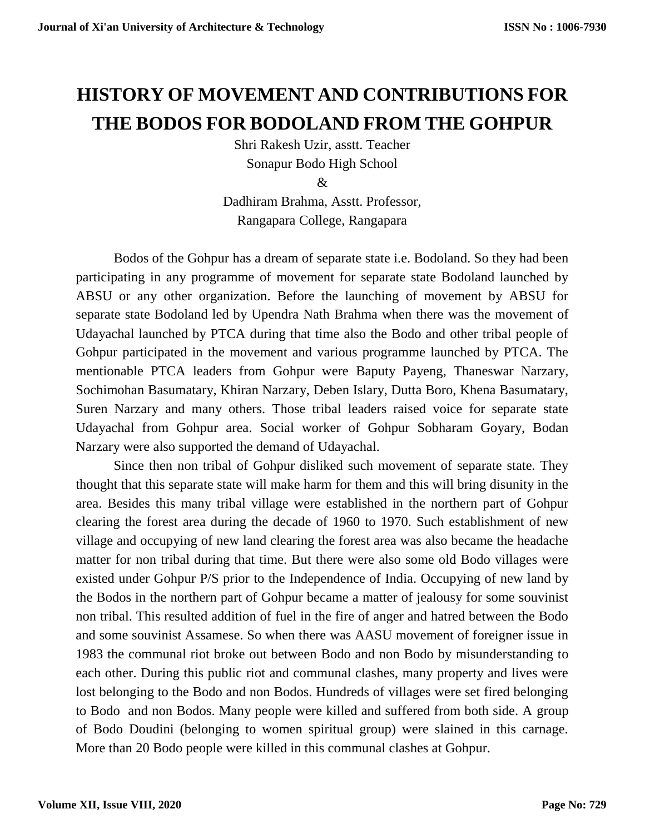## **HISTORY OF MOVEMENT AND CONTRIBUTIONS FOR THE BODOS FOR BODOLAND FROM THE GOHPUR**

Shri Rakesh Uzir, asstt. Teacher Sonapur Bodo High School

Dadhiram Brahma, Asstt. Professor, Rangapara College, Rangapara

Bodos of the Gohpur has a dream of separate state i.e. Bodoland. So they had been participating in any programme of movement for separate state Bodoland launched by ABSU or any other organization. Before the launching of movement by ABSU for separate state Bodoland led by Upendra Nath Brahma when there was the movement of Udayachal launched by PTCA during that time also the Bodo and other tribal people of Gohpur participated in the movement and various programme launched by PTCA. The mentionable PTCA leaders from Gohpur were Baputy Payeng, Thaneswar Narzary, Sochimohan Basumatary, Khiran Narzary, Deben Islary, Dutta Boro, Khena Basumatary, Suren Narzary and many others. Those tribal leaders raised voice for separate state Udayachal from Gohpur area. Social worker of Gohpur Sobharam Goyary, Bodan Narzary were also supported the demand of Udayachal.

Since then non tribal of Gohpur disliked such movement of separate state. They thought that this separate state will make harm for them and this will bring disunity in the area. Besides this many tribal village were established in the northern part of Gohpur clearing the forest area during the decade of 1960 to 1970. Such establishment of new village and occupying of new land clearing the forest area was also became the headache matter for non tribal during that time. But there were also some old Bodo villages were existed under Gohpur P/S prior to the Independence of India. Occupying of new land by the Bodos in the northern part of Gohpur became a matter of jealousy for some souvinist non tribal. This resulted addition of fuel in the fire of anger and hatred between the Bodo and some souvinist Assamese. So when there was AASU movement of foreigner issue in 1983 the communal riot broke out between Bodo and non Bodo by misunderstanding to each other. During this public riot and communal clashes, many property and lives were lost belonging to the Bodo and non Bodos. Hundreds of villages were set fired belonging to Bodo and non Bodos. Many people were killed and suffered from both side. A group of Bodo Doudini (belonging to women spiritual group) were slained in this carnage. More than 20 Bodo people were killed in this communal clashes at Gohpur.

<sup>&</sup>amp;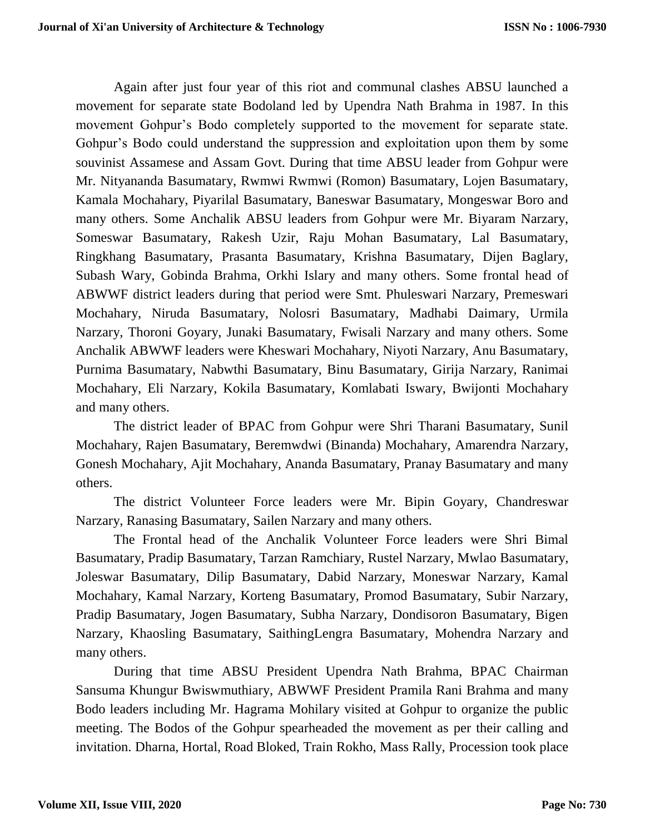Again after just four year of this riot and communal clashes ABSU launched a movement for separate state Bodoland led by Upendra Nath Brahma in 1987. In this movement Gohpur's Bodo completely supported to the movement for separate state. Gohpur's Bodo could understand the suppression and exploitation upon them by some souvinist Assamese and Assam Govt. During that time ABSU leader from Gohpur were Mr. Nityananda Basumatary, Rwmwi Rwmwi (Romon) Basumatary, Lojen Basumatary, Kamala Mochahary, Piyarilal Basumatary, Baneswar Basumatary, Mongeswar Boro and many others. Some Anchalik ABSU leaders from Gohpur were Mr. Biyaram Narzary, Someswar Basumatary, Rakesh Uzir, Raju Mohan Basumatary, Lal Basumatary, Ringkhang Basumatary, Prasanta Basumatary, Krishna Basumatary, Dijen Baglary, Subash Wary, Gobinda Brahma, Orkhi Islary and many others. Some frontal head of ABWWF district leaders during that period were Smt. Phuleswari Narzary, Premeswari Mochahary, Niruda Basumatary, Nolosri Basumatary, Madhabi Daimary, Urmila Narzary, Thoroni Goyary, Junaki Basumatary, Fwisali Narzary and many others. Some Anchalik ABWWF leaders were Kheswari Mochahary, Niyoti Narzary, Anu Basumatary, Purnima Basumatary, Nabwthi Basumatary, Binu Basumatary, Girija Narzary, Ranimai Mochahary, Eli Narzary, Kokila Basumatary, Komlabati Iswary, Bwijonti Mochahary and many others.

The district leader of BPAC from Gohpur were Shri Tharani Basumatary, Sunil Mochahary, Rajen Basumatary, Beremwdwi (Binanda) Mochahary, Amarendra Narzary, Gonesh Mochahary, Ajit Mochahary, Ananda Basumatary, Pranay Basumatary and many others.

The district Volunteer Force leaders were Mr. Bipin Goyary, Chandreswar Narzary, Ranasing Basumatary, Sailen Narzary and many others.

The Frontal head of the Anchalik Volunteer Force leaders were Shri Bimal Basumatary, Pradip Basumatary, Tarzan Ramchiary, Rustel Narzary, Mwlao Basumatary, Joleswar Basumatary, Dilip Basumatary, Dabid Narzary, Moneswar Narzary, Kamal Mochahary, Kamal Narzary, Korteng Basumatary, Promod Basumatary, Subir Narzary, Pradip Basumatary, Jogen Basumatary, Subha Narzary, Dondisoron Basumatary, Bigen Narzary, Khaosling Basumatary, SaithingLengra Basumatary, Mohendra Narzary and many others.

During that time ABSU President Upendra Nath Brahma, BPAC Chairman Sansuma Khungur Bwiswmuthiary, ABWWF President Pramila Rani Brahma and many Bodo leaders including Mr. Hagrama Mohilary visited at Gohpur to organize the public meeting. The Bodos of the Gohpur spearheaded the movement as per their calling and invitation. Dharna, Hortal, Road Bloked, Train Rokho, Mass Rally, Procession took place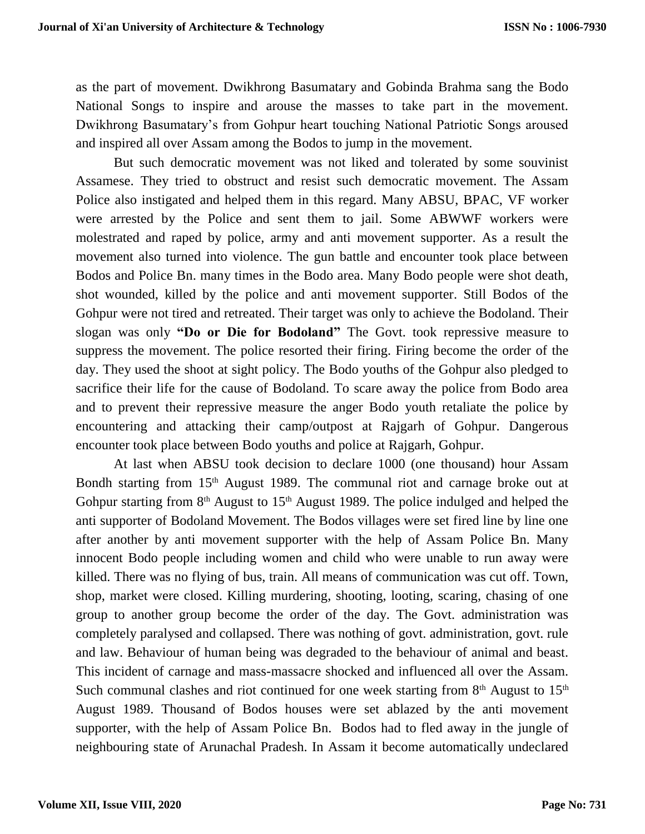as the part of movement. Dwikhrong Basumatary and Gobinda Brahma sang the Bodo National Songs to inspire and arouse the masses to take part in the movement. Dwikhrong Basumatary's from Gohpur heart touching National Patriotic Songs aroused and inspired all over Assam among the Bodos to jump in the movement.

But such democratic movement was not liked and tolerated by some souvinist Assamese. They tried to obstruct and resist such democratic movement. The Assam Police also instigated and helped them in this regard. Many ABSU, BPAC, VF worker were arrested by the Police and sent them to jail. Some ABWWF workers were molestrated and raped by police, army and anti movement supporter. As a result the movement also turned into violence. The gun battle and encounter took place between Bodos and Police Bn. many times in the Bodo area. Many Bodo people were shot death, shot wounded, killed by the police and anti movement supporter. Still Bodos of the Gohpur were not tired and retreated. Their target was only to achieve the Bodoland. Their slogan was only **"Do or Die for Bodoland"** The Govt. took repressive measure to suppress the movement. The police resorted their firing. Firing become the order of the day. They used the shoot at sight policy. The Bodo youths of the Gohpur also pledged to sacrifice their life for the cause of Bodoland. To scare away the police from Bodo area and to prevent their repressive measure the anger Bodo youth retaliate the police by encountering and attacking their camp/outpost at Rajgarh of Gohpur. Dangerous encounter took place between Bodo youths and police at Rajgarh, Gohpur.

At last when ABSU took decision to declare 1000 (one thousand) hour Assam Bondh starting from 15<sup>th</sup> August 1989. The communal riot and carnage broke out at Gohpur starting from  $8<sup>th</sup>$  August to 15<sup>th</sup> August 1989. The police indulged and helped the anti supporter of Bodoland Movement. The Bodos villages were set fired line by line one after another by anti movement supporter with the help of Assam Police Bn. Many innocent Bodo people including women and child who were unable to run away were killed. There was no flying of bus, train. All means of communication was cut off. Town, shop, market were closed. Killing murdering, shooting, looting, scaring, chasing of one group to another group become the order of the day. The Govt. administration was completely paralysed and collapsed. There was nothing of govt. administration, govt. rule and law. Behaviour of human being was degraded to the behaviour of animal and beast. This incident of carnage and mass-massacre shocked and influenced all over the Assam. Such communal clashes and riot continued for one week starting from  $8<sup>th</sup>$  August to  $15<sup>th</sup>$ August 1989. Thousand of Bodos houses were set ablazed by the anti movement supporter, with the help of Assam Police Bn. Bodos had to fled away in the jungle of neighbouring state of Arunachal Pradesh. In Assam it become automatically undeclared